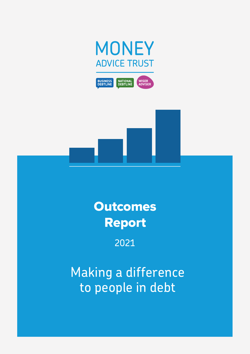





## **Outcomes** Report

2021

Making a difference to people in debt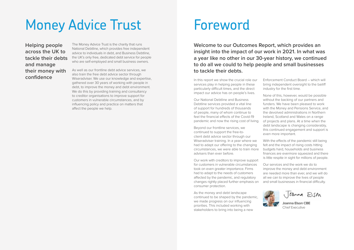**Helping people across the UK to tackle their debts and manage their money with confidence**

The Money Advice Trust is the charity that runs National Debtline, which provides free independent advice to individuals in debt, and Business Debtline, the UK's only free, dedicated debt service for people who are self-employed and small business owners.

As well as our frontline debt advice services, we also train the free debt advice sector through Wiseradviser. We use our knowledge and expertise, gathered over 30 years of working with people in debt, to improve the money and debt environment. We do this by providing training and consultancy to creditor organisations to improve support for customers in vulnerable circumstances, and by influencing policy and practice on matters that affect the people we help.

# Money Advice Trust

In this report we show the crucial role our services play in helping people in these particularly difficult times, and the direct impact our advice has on people's lives.

Our National Debtline and Business Debtline services provided a vital line of support for hundreds of thousands of people, many of whom continue to feel the financial effects of the Covid-19 pandemic and now the rising cost of living.

Beyond our frontline services, we continued to support the free-toclient debt advice sector through our Wiseradviser training. In a year where we had to adapt our offering to the changing circumstances, we were able to train more advisers than ever before.

Our work with creditors to improve support for customers in vulnerable circumstances took on even greater importance. Firms had to adapt to the needs of customers affected by the pandemic, and regulatory changes rightly placed further emphasis on consumer protection.

As the money and debt landscape continued to be shaped by the pandemic, we made progress on our influencing priorities. This included working with stakeholders to bring into being a new



Enforcement Conduct Board – which will bring independent oversight to the bailiff industry for the first time.

Joanna Ara

None of this, however, would be possible without the backing of our partners and funders. We have been pleased to work with the Money and Pensions Service, and the devolved administrations in Northern Ireland, Scotland and Wales on a range of projects and plans. At a time when the debt landscape is changing considerably, this continued engagement and support is even more important.

With the effects of the pandemic still being felt and the impact of rising costs hitting budgets hard, households and business finances are evermore squeezed and there is little respite in sight for millions of people.

Our services and the work we do to improve the money and debt environment are needed more than ever, and we will do all we can to improve the lives of people and small businesses in financial difficulty.

**Joanna Elson CBE** Chief Executive

# Foreword

**Welcome to our Outcomes Report, which provides an insight into the impact of our work in 2021. In what was a year like no other in our 30-year history, we continued to do all we could to help people and small businesses to tackle their debts.**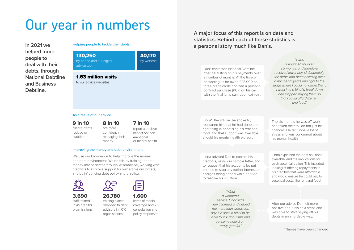**Helping people to tackle their debts**

# Our year in numbers

**In 2021 we helped more people to deal with their debts, through National Debtline and Business Debtline.**

### 130,250

by phone and our digital advice tool

40,170 by webchat

1.63 million visits to our advice websites

### **As a result of our advice**

### 9 in 10

clients' debts reduce or stabilise

We use our knowledge to help improve the money and debt environment. We do this by training the free money advice sector through Wiseradviser, working with creditors to improve support for vulnerable customers, and by influencing debt policy and practice.



8 in 10 are more confident in managing their money

### 7 in 10 report a positive impact on their emotional

or mental health

### 3,690

staff trained in 45 creditor organisations



## 26,780 training places

provided to debt advisers in 1,010 organisations

1,600 items of media coverage and 25 consultation and policy responses

### **Improving the money and debt environment**

*"What a wonderful service. Linda was very informed and helped me more than words can say. It is such a relief to be able to talk about this and get some help…I am really grateful."*

Dan\* contacted National Debtline after defaulting on his payments over a number of months. At the time of contacting us he owed £28,000 on three credit cards and had a personal contract purchase (PCP) on his car, with the final lump sum due next year.

> The six months he was off work had taken their toll on not just his finances. He felt under a lot of stress and was concerned about his mental health.

Linda\*, the adviser he spoke to, reassured him that he had done the right thing in prioritising his rent and food, and that support was available should his mental health worsen.

> After our advice Dan felt more positive about his next steps and was able to start paying off his debts in an affordable way.

Linda explained the debt solutions available, and the implications for each potential option. This included looking at offering repayments to his creditors that were affordable and would ensure he could pay for essential costs, like rent and food.

Linda advised Dan to contact his creditors, using our sample letter, and to request that his accounts be put on hold to stop any further interest or charges being added while he tried to resolve his situation.

*"I was furloughed for over six months and therefore received lower pay. Unfortunately, the debts had been accruing over a number of years and I got to the stage where I could not afford them. I went into a bit of a breakdown and stopped paying them so that I could afford my rent and food."*

## **A major focus of this report is on data and statistics. Behind each of these statistics is a personal story much like Dan's.**

\*Names have been changed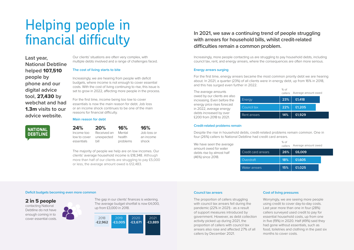Our clients' situations are often very complex, with multiple debts involved and a range of challenges faced.

### **The cost of living starts to bite**

Increasingly, we are hearing from people with deficit budgets, where income is not enough to cover essential costs. With the cost of living continuing to rise, this issue is set to grow in 2022, affecting more people in the process.

For the first time, income being too low to cover essentials is now the main reason for debt. Job loss or an income shock continues to be one of the main reasons for financial difficulty.

### **Main reason for debt**

24% Income too low to cover essentials 20%

Received an unexpected bill 16% Mental health problems

16% Job loss or an income shock

The majority of people we help are on low incomes. Our clients' average household income is £18,348. Although more than half of our clients are struggling to pay £5,000 or less, the average amount owed is £12,483.

2 in 5 people

contacting National Debtline do not have enough coming in to cover essential costs.



The gap in our clients' finances is widening. The average budget shortfall is now £4,000, up from £3,000 in 2018.

# Helping people in financial difficulty

**Last year, National Debtline helped** 107,510 **people by phone and our digital advice tool,** 27,430 **by webchat and had**  1.3m **visits to our advice website.** 



The average amounts owed by our clients are also increasing. Even before the energy price rises forecast in 2022, average energy debts increased by over £200 from 2018 to 2021.

## **In 2021, we saw a continuing trend of people struggling with arrears for household bills, whilst credit-related difficulties remain a common problem.**

% of We have seen the average callers Average and Controllers Average and Controllers Average and Controllers Average and Controllers Average and Controllers Average and Controllers Average and Controllers Average and Cont amount owed for water debts rise by almost half (46%) since 2018.

| Credit card arrea |
|-------------------|
| Overdraft         |
| Water arrears     |

### **Energy arrears surging**

For the first time, energy arrears became the most common priority debt we are hearing about. In 2021, a quarter (23%) of all clients were in energy debt, up from 16% in 2018, and this has surged even further in 2022.

### **Cost of living pressures**

Worryingly, we are seeing more people using credit to cover day-to-day costs. Last year more than one in four (28%) callers surveyed used credit to pay for essential household costs, up from one in five (19%) in 2020. Half (49%) said they had gone without essentials, such as food, toiletries and clothing in the past six months to cover costs.

| $%$ of | callers Average amount owed |
|--------|-----------------------------|
| 23%    | £1,418                      |
| 22%    | £1,205                      |
| 14%    | £1,929                      |

Increasingly, more people contacting us are struggling to pay household debts, including council tax, rent, and energy arrears, where the consequences are often more serious.



### **Credit-related problems remain**

Despite the rise in household debts, credit-related problems remain common. One in four (26%) callers to National Debtline had credit card arrears.

| $\lambda$ $\lambda$ $\lambda$ | callers Average amount owed |
|-------------------------------|-----------------------------|
| 26%                           | £6,009                      |
| 18%                           | £1,605                      |
| 15%                           | £1,025                      |
|                               |                             |

#### **Council tax arrears**

The proportion of callers struggling with council tax arrears fell during the pandemic (22% in 2021) - as a result of support measures introduced by government. However, as debt collection activity picked up during 2021, the proportion of callers with council tax arrears also rose and affected 27% of all callers by December 2021.

### **Deficit budgets becoming even more common**

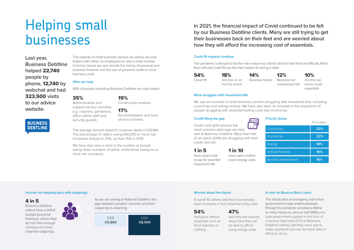The majority of small business owners we advise are sole traders with either no employees or only a small number. Common issues we see include the mixing of personal and business finances and the use of personal credit to cover business costs.

### **Who we help**

68% of people contacting Business Debtline are sole traders.

35%

Administrative and

support service activities e.g. cleaners, gardeners, office admin staff and security guards

We have also seen a drop in the number of people owing lower numbers of debts, whilst those owing six or more has increased.

### 19%

Construction workers

17% Accommodation and food service activities

The average amount owed for business debts is £30,484. The percentage of callers owing £50,000 or more has increased sharply to 23%, up from 15% in 2016.

### **Income not keeping pace with outgoings**

### 4 in 5

The pandemic continued to be the main reason our clients cited for their financial difficulty. More than half said Covid-19 was the main reason for being in debt.

Business Debtline callers have a deficit budget (personal finances), where they do not have enough coming in to cover essential outgoings.



As we are seeing at National Debtline, the gap between peoples' incomes and their outgoings is widening.

# Helping small businesses

**Last year, Business Debtline helped** 22,740 **people by phone,** 12,740 **by webchat and had**  323,500 **visits to our advice website.** 





**In 2021, the financial impact of Covid continued to be felt by our Business Debtline clients. Many are still trying to get their businesses back on their feet and are worried about how they will afford the increasing cost of essentials.** 

### **Covid-19 impacts continue**

### **A note on Bounce Back Loans**

The introduction of emergency loans from government to help small businesses through the pandemic provided a lifeline to many. However, almost half (48%) who took government support in the form of a bounce back loan (22% of Business Debtline callers), said they were due to make payments but had not been able to afford to do so.

### **More struggles with household bills**

We saw an increase in small business owners struggling with household bills, including council tax and energy arrears. We have also seen an increase in the proportion of people struggling with essential trading costs like income tax.

|                     | % of callers |
|---------------------|--------------|
| Council tax         | 23%          |
| Income tax          | 22%          |
| <b>Energy</b>       | 18%          |
| Vehicle finance     | 16%          |
| Benefit overpayment | 16%          |

### **Worries about the future**

54% Covid-19 18% Job loss or an income shock 14% Business failure 12%

Received an unexpected bill 10%

Income too low to cover essentials

### **Priority debts**

1 in 5

have used credit to pay for essential household bills

## 1 in 10

have used credit to cover energy costs

### **Credit filling the gap**

Credit card debt remains the



most common debt type we help with at Business Debtline. More than half of all callers (54%) are struggling with their credit card bill.

8 out of 10 callers said they have already seen increases in their essential living costs.

### 54%

had gone without essentials such as food, toiletries or clothing.

47%

said they are worried about how they will be able to afford rising energy costs.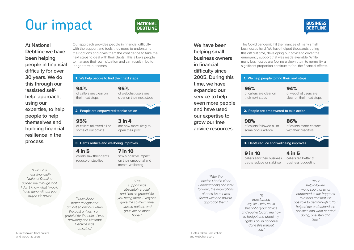Our approach provides people in financial difficulty with the support and tools they need to understand their options and gives them the confidence to take the next steps to deal with their debts. This allows people to manage their own situation and can result in better longer-term outcomes.

# Our impact





**At National Debtline we have been helping people in financial difficulty for over 30 years. We do this through our 'assisted selfhelp' approach, using our expertise, to help people to help themselves and building financial resilience in the process.** 

*"I was in a mess financially. National Debtline guided me through it all. I don't know what I would have done without you - truly a life saver." "I now sleep* 

> *better at night and am not so anxious when the post arrives. I am grateful for the help - I was drowning and National Debtline was amazing."*

*absolutely crucial, and I am so grateful for you being there. Everyone gave me so much time, was so patient, and gave me so much hope ."*

The Covid pandemic hit the finances of many small businesses hard. We have helped thousands during this difficult time, developing our advice to cover the emergency support that was made available. While many businesses are feeling a slow return to normality, a significant proportion continue to feel the financial effects.

**We have been helping small business owners in financial difficulty since 2005. During this time, we have expanded our service to help even more people and have used our expertise to grow our free advice resources.**

> 9 in 10 callers saw their business debts reduce or stabilise

### 4 in 5

callers felt better at business budgeting

98%

of callers followed all or some of our advice

### **We help people to find their next steps** 2. **People are empowered to take action**

### 86%

of callers made contact with their creditors

### **3.** Debts reduce and wellbeing improves

96% of callers are clear on their next steps

94%

### **We help people to find their next steps** 1. **We help people to find their next steps**

of webchat users are clear on their next steps

*"After the advice I had a clear understanding of a way forward, the implications of each issue I was faced with and how to approach them."*

*"It transformed my life. I felt I could trust all of your advice and you've taught me how to budget and about my rights. I could not have done this without you."*

*"Your* 

*help allowed me to see that what happened to me happens to others and that it is possible to get through it. You helped me understand the priorities and what needed doing, one step at a time."*

Quotes taken from callers and webchat users

Quotes taken from callers and webchat users

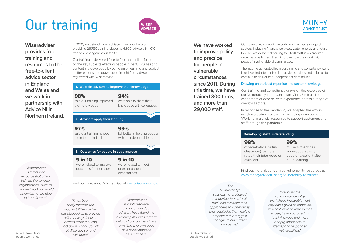9 in 10 were helped to improve outcomes for their clients

9 in 10 were helped to meet or exceed clients' expectations

97% said our training helped them to do their job

### **We help people to find their next steps** 2. **Advisers apply their learning**

99% felt better at helping people with their debt problems

### **3.** Outcomes for people in debt improve

In 2021, we trained more advisers than ever before, providing 26,780 training places to 4,300 advisers in 1,010 free-to-client agencies in the UK.

Our training is delivered face-to-face and online, focusing on the key subjects affecting people in debt. Courses and content are developed by our team of learning and subject matter experts and draws upon insight from advisers registered with Wiseradviser.

### **1.** We train advisers to improve their knowledge

**Wiseradviser provides free training and resources to the free-to-client advice sector in England and Wales and we work in partnership with Advice NI in Northern Ireland.** 

98% said our training improved

their knowledge

94% were able to share their knowledge with colleagues

# Our training



*"Wiseradviser is a fantastic resource that offers training that smaller organisations, such as the one I work for, would otherwise not be able to benefit from."*

*"It has been really fantastic the way that Wiseradviser has stepped up to provide different ways for us to access training during lockdown. Thank you all at Wiseradviser and well done!"*

*"Wiseradviser is a fab resource and as a new debt adviser I have found the e-learning modules a great help as I can do them in my own time and own pace plus revisit modules as a refresher."*

Find out more about Wiseradviser at [www.wiseradviser.org](http://www.wiseradviser.org)

Our team of vulnerability experts work across a range of sectors, including financial services, water, energy and retail. In 2021, we delivered training to 3,690 staff in 45 creditor organisations to help them improve how they work with people in vulnerable circumstances.

The income generated from our training and consultancy work is re-invested into our frontline advice services and helps us to continue to deliver free, independent debt advice.

### **Drawing on the best expertise and sector knowledge**

Our training and consultancy draws on the expertise of our Vulnerability Lead Consultant Chris Fitch and our wider team of experts, with experience across a range of creditor sectors.

In response to the pandemic, we adapted the way in which we deliver our training including developing our 'Working in a crisis' resources to support customers and staff through the pandemic.

Find out more about our free vulnerability resources at [www.moneyadvicetrust.org/vulnerability-resources](http://www.moneyadvicetrust.org/vulnerability-resources)

**We have worked to improve policy and practice for people in vulnerable circumstances since 2011. During this time, we have trained 300 firms, and more than 29,000 staff.** 

98%

of face-to-face (virtual classroom) learners rated their tutor good or excellent

### 99%

of users rated their knowledge as very good or excellent after our e-learning

### Developing staff understanding

*"I've found the suite of Vulnerability workshops invaluable - not only has it given us hands on, practical tips and approaches to use, it's encouraged us to think longer, and more deeply, about how to identify and respond to vulnerabilities."*

*"The [vulnerability] sessions have allowed our adviser teams to sit back and evaluate their approaches to vulnerability and resulted in them feeling empowered to suggest changes to our current processes."*

Quotes taken from people we trained

Quotes taken from people we trained

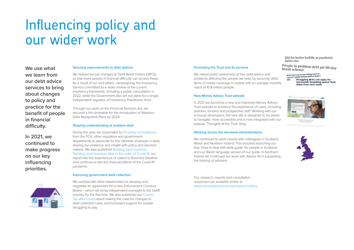#### **Securing improvements to debt options**

We helped secure changes to Debt Relief Orders (DROs) so that more people in financial difficulty can access these. As a result of our and others' campaigning, the Insolvency Service committed to a wider review of the current insolvency framework, including a public consultation in 2022, while the Government also set out plans for a single, independent regulator of Insolvency Practitioner firms.

Through our work on the Financial Services Act, we secured a firm timetable for the introduction of Statutory Debt Repayment Plans by 2024.

#### **Shaping understanding of problem debt**

During the year, we responded to [25 policy consultations](https://www.moneyadvicetrust.org/research-policy/consultation-responses/) from the FCA, other regulators and government departments to advocate for the interests of people in debt, sharing our evidence and insight with policy and decision makers. We also published [Building back business:](https://www.moneyadvicetrust.org/building-back-business/)  [Tackling small business debt in the wake of Covid-19](https://www.moneyadvicetrust.org/building-back-business/), our report into the experiences of callers to Business Debtline who continue to feel the financial effects of the Covid-19 pandemic.

### **Improving government debt collection**

We worked with other stakeholders to develop and negotiate an agreement for a new Enforcement Conduct Board – which will bring independent oversight to the bailiff industry for the first time. We also published our [Council](https://moneyadvicetrust.org/council-tax-covid/)  [Tax after Covid](https://moneyadvicetrust.org/council-tax-covid/) report making the case for changes to debt collection rules, and increased support for people struggling to pay.

We continued to work closely with colleagues in Scotland, Wales and Northern Ireland. This included launching our free 'How to deal with debt guide' for people in Scotland, and our Welsh language version of our guide. In Northern Ireland we continued our work with Advice NI in supporting the training of advisers.

# Influencing policy and our wider work

**We use what we learn from our debt advice services to bring about changes to policy and practice for the benefit of people in financial difficulty.** 

**In 2021, we continued to make progress on our key influencing priorities.**



#### **Promoting the Trust and its services**

We raised public awareness of free debt advice and problems affecting the people we help, by securing 1,600 items of media coverage in outlets with an average monthly reach of 10.8 million people.

### **New Money Advice Trust website**

In 2021 we launched a new and improved Money Advice Trust website to enhance the experience of users, including partners, funders and prospective staff. Working with our in-house developers, the new site is designed to be easier to navigate, more accessible and is now integrated with our popular 'Thoughts at the Trust' blog.

### **Working across the devolved administrations**

Our research, reports and consultation responses are available online at [www.moneyadvicetrust.org/research-policy](http://www.moneyadvicetrust.org/research-policy) Bid for better bailiffs as pandemic debts rise

People in problem debt get 60-day break scheme

Brits face rise in borrowing costs as<br>one in 7 adults behind with at least a **Struggling Brits can apply for** nonth 'breathing space' from héa frainn naist sam



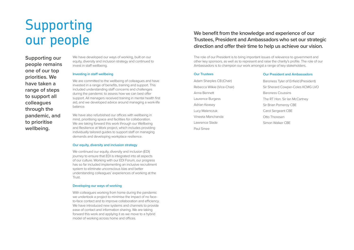We have developed our ways of working, built on our equity, diversity and inclusion strategy and continued to invest in staff wellbeing.

### **Investing in staff wellbeing**

We are committed to the wellbeing of colleagues and have invested in a range of benefits, training and support. This included understanding staff concerns and challenges during the pandemic to assess how we can best offer support. All managers received training in mental health first aid, and we developed advice around managing a work-life balance.

We continued our equity, diversity and inclusion (EDI) journey to ensure that EDI is integrated into all aspects of our culture. Working with our EDI Forum, our progress has so far included implementing an inclusive recruitment system to eliminate unconscious bias and better understanding colleagues' experiences of working at the Trust.

We have also refurbished our offices with wellbeing in mind, prioritising space and facilities for collaboration. We are taking forward this work through our Wellbeing and Resilience at Work project, which includes providing individually tailored guides to support staff on managing demands and developing workplace resilience.

### **Our equity, diversity and inclusion strategy**

### **Developing our ways of working**

With colleagues working from home during the pandemic we undertook a project to minimise the impact of no faceto-face contact and to improve collaboration and efficiency. We have introduced new systems and channels to provide ease of contact and information sharing. We are taking forward this work and applying it as we move to a hybrid model of working across home and offices.

# Supporting our people

**Supporting our people remains one of our top priorities. We have taken a range of steps to support all colleagues through the pandemic, and to prioritise wellbeing.** 

## **We benefit from the knowledge and experience of our Trustees, President and Ambassadors who set our strategic direction and offer their time to help us achieve our vision.**

The role of our President is to bring important issues of relevance to government and other key sponsors, as well as to represent and raise the charity's profile. The role of our Ambassadors is to champion our work amongst a range of key stakeholders.

| <b>Our Trustees</b>         | Οu  |
|-----------------------------|-----|
| Adam Sharples CB (Chair)    | Baı |
| Rebecca Wilkie (Vice-Chair) | Sir |
| Anna Bennett                | Baı |
| Laurence Burgess            | The |
| Adrian Keasey               | Sir |
| Lucy Malenczuk              | Ca  |
| Vineeta Manchanda           | Ott |
| Lawrence Slade              | Sin |
| Paul Smee                   |     |

### **ur President and Ambassadors**

- roness Tyler of Enfield (President)
- Sherard Cowper-Coles KCMG LVO
- Baroness Coussins
- e RT Hon. Sir Ian McCartney
- Brian Pomeroy CBE
- rol Sergeant CBE
- to Thoresen
- non Walker CBE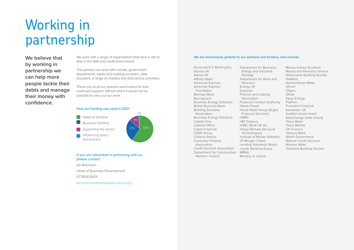We work with a range of organisations that have a role to play in the debt and credit environment.

The partners we work with include, government departments, banks and building societies, utility providers, a range of charities and debt advice providers.

Thank you to all our partners and funders for their continued support, without which it would not be possible to carry out our work.

**If you are interested in partnering with us, please contact:**

Ian Robinson Head of Business Development 07785425631 i[an.robinson@moneyadvicetrust.org](mailto:ian.robinson%40moneyadvicetrust.org%20?subject=) 

# Working in partnership

**We believe that by working in partnership we can help more people tackle their debts and manage their money with confidence.**

#### **How our funding was used in 2021**



Department for Bus Energy and Indust Strategy Department for Work Pensions Energy UK Experian Finance and Leasing Association Financial Conduct A Haven Power Home Retail Group Financial Services) HMRC HM Treasury HSBC Bank UK plc Indigo Michael (Acc Technologies) Institute of Money A JP Morgan Chase Lending Standards Lloyds Banking Gro MBNA Ministry of Justice

Accountant in Bankruptcy Advice UK Advice NI Affinity Water American Express American Express Foundation Barclays Bank Barclaycard Business Energy Solutions British Business Bank Building Societies Association Business Energy Solutions Capital One Cabinet Office Cabot Financial CDER Group Citizens Advice Consumer Finance Association Credit Services Association Department for Communities Northern Ireland

| siness,                      | Money Advice Scotland          |
|------------------------------|--------------------------------|
| trial                        | Money and Pensions Service     |
|                              | Nationwide Building Society    |
| rk and                       | <b>NatWest</b>                 |
|                              | Northumbrian Water             |
|                              | Ofcom                          |
|                              | Ofgem                          |
| ığ                           | Ofwat                          |
|                              | Opus Energy                    |
| Authority                    | PayPlan                        |
|                              | <b>Provident Financial</b>     |
| (Argos                       | Santander UK                   |
| $\left\langle \right\rangle$ | <b>Scottish Government</b>     |
|                              | <b>StepChange Debt Charity</b> |
|                              | Tesco Bank                     |
|                              | Tesco Mobile                   |
| count                        | <b>UK Finance</b>              |
|                              | Vanquis Bank                   |
| Advisers                     | <b>Welsh Government</b>        |
|                              | <b>Wescot Credit Services</b>  |
| <b>Board</b>                 | Wessex Water                   |
| oup                          | Yorkshire Building Society     |

### **We are enormously grateful to our partners and funders, who include:**